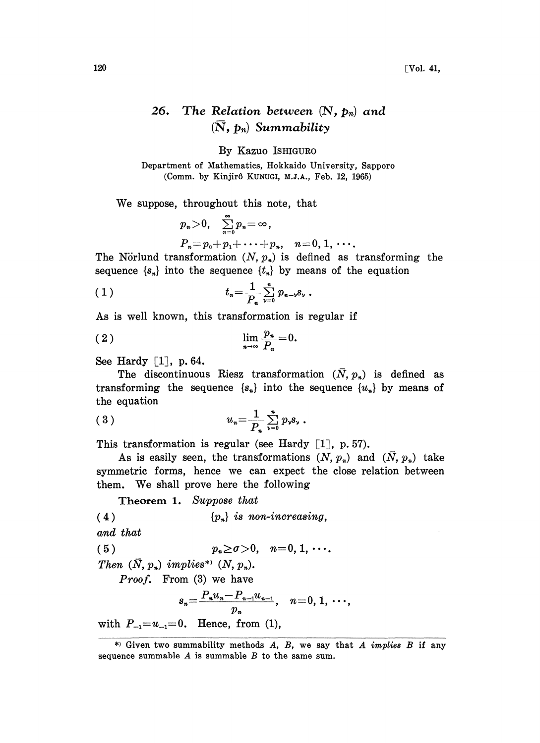## 26. The Relation between  $(N, p_n)$  and  $(\overline{N}, p_n)$  Summability

By Kazuo ISHIGURO

Department of Mathematics, Hokkaido University, Sapporo (Comm. by Kinjirô KUNUGI, M.J.A., Feb. 12, 1965)

We suppose, throughout this note, that

$$
p_n > 0
$$
,  $\sum_{n=0}^{\infty} p_n = \infty$ ,  
\n $P_n = p_0 + p_1 + \cdots + p_n$ ,  $n = 0, 1, \cdots$ .

The Nörlund transformation  $(N, p_n)$  is defined as transforming the sequence  $\{s_n\}$  into the sequence  $\{t_n\}$  by means of the equation

(1) 
$$
t_n = \frac{1}{P_n} \sum_{\nu=0}^n p_{n-\nu} s_{\nu} .
$$

As is well known, this transformation is regular if

$$
\lim_{n\to\infty}\frac{p_n}{P_n}=0.
$$

See Hardy  $\lceil 1 \rceil$ , p. 64.

The discontinuous Riesz transformation  $(\bar{N}, p_n)$  is defined as transforming the sequence  $\{s_n\}$  into the sequence  $\{u_n\}$  by means of the equation

(3) 
$$
u_n = \frac{1}{P_n} \sum_{\nu=0}^n p_{\nu} s_{\nu} .
$$

This transformation is regular (see Hardy  $[1]$ , p. 57).

As is easily seen, the transformations  $(N, p_n)$  and  $(\bar{N}, p_n)$  take symmetric forms, hence we can expect the close relation between them. We shall prove here the following

Theorem 1. Suppose that

(4)  ${p_n}$  is non-increasing,

and that

(5)  $p_n \ge \sigma > 0, \quad n = 0, 1, \cdots.$ 

Then  $(\bar{N}, p_n)$  implies<sup>\*</sup>  $(N, p_n)$ .

Proof. From (3) we have

$$
s_n = \frac{P_n u_n - P_{n-1} u_{n-1}}{p_n}, \quad n = 0, 1, \cdots,
$$

with  $P_{-1} = u_{-1} = 0$ . Hence, from (1),

<sup>\*)</sup> Given two summability methods  $A$ ,  $B$ , we say that  $A$  *implies*  $B$  if any sequence summable  $A$  is summable  $B$  to the same sum.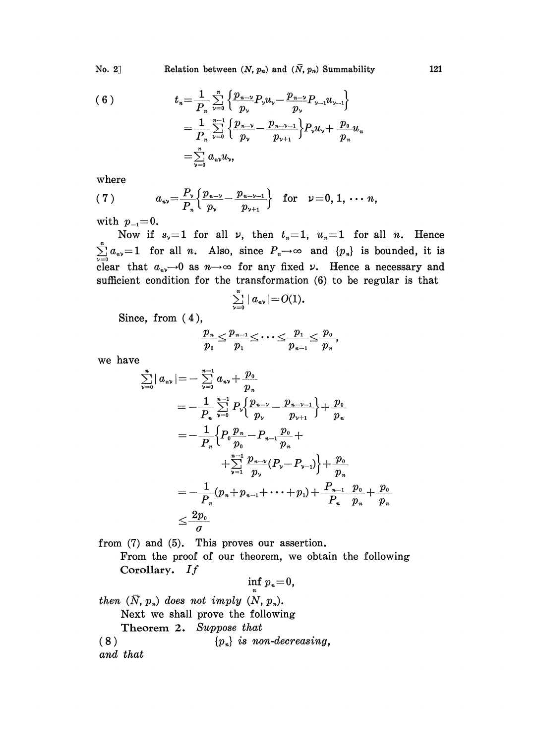No. 2] Relation between  $(N, p_n)$  and  $(\bar{N}, p_n)$  Summability 121

(6)  

$$
t_{n} = \frac{1}{P_{n}} \sum_{\nu=0}^{n} \left\{ \frac{p_{n-\nu}}{p_{\nu}} P_{\nu} u_{\nu} - \frac{p_{n-\nu}}{p_{\nu}} P_{\nu-1} u_{\nu-1} \right\}
$$

$$
= \frac{1}{P_{n}} \sum_{\nu=0}^{n-1} \left\{ \frac{p_{n-\nu}}{p_{\nu}} - \frac{p_{n-\nu-1}}{p_{\nu+1}} \right\} P_{\nu} u_{\nu} + \frac{p_{0}}{p_{n}} u_{n}
$$

$$
= \sum_{\nu=0}^{n} a_{n\nu} u_{\nu},
$$

where

where  
\n(7) 
$$
a_{n\nu} = \frac{P_{\nu}}{P_{n}} \left\{ \frac{p_{n-\nu}}{p_{\nu}} - \frac{p_{n-\nu-1}}{p_{\nu+1}} \right\} \text{ for } \nu = 0, 1, \dots n,
$$

with  $p_{-1}=0$ .

Now if  $s_y=1$  for all  $\nu$ , then  $t_x=1$ ,  $u_x=1$  for all n. Hence  $\sum_{\nu=0}^{n} a_{\nu} = 1$  for all *n*. Also, since  $P_{\nu} \rightarrow \infty$  and  $\{p_{\nu}\}\$ is bounded, it is clear that  $a_{n\nu}\rightarrow 0$  as  $n\rightarrow\infty$  for any fixed  $\nu$ . Hence a necessary and sufficient condition for the transformation (6) to be regular is that

$$
\sum_{\nu=0}^n\mid a_{n\nu}\mid=O(1).
$$

Since, from (4),

$$
\frac{p_n}{p_0} \leq \frac{p_{n-1}}{p_1} \leq \cdots \leq \frac{p_1}{p_{n-1}} \leq \frac{p_0}{p_n},
$$

we have

$$
\sum_{\nu=0}^{n} |a_{n\nu}| = -\sum_{\nu=0}^{n-1} a_{n\nu} + \frac{p_0}{p_n}
$$
\n
$$
= -\frac{1}{P_n} \sum_{\nu=0}^{n-1} P_{\nu} \Big\{ \frac{p_{n-\nu}}{p_{\nu}} - \frac{p_{n-\nu-1}}{p_{\nu+1}} \Big\} + \frac{p_0}{p_n}
$$
\n
$$
= -\frac{1}{P_n} \Big\{ P_0 \frac{p_n}{p_0} - P_{n-1} \frac{p_0}{p_n} + \frac{p_0}{\sum_{\nu=1}^{n-1} \frac{p_{n-\nu}}{p_{\nu}} (P_{\nu} - P_{\nu-1}) \Big\} + \frac{p_0}{p_n}
$$
\n
$$
= -\frac{1}{P_n} (p_n + p_{n-1} + \dots + p_1) + \frac{P_{n-1}}{P_n} \frac{p_0}{p_n} + \frac{p_0}{p_n}
$$
\n
$$
\leq \frac{2p_0}{\sigma}
$$

from (7) and (5). This proves our assertion. From the proof of our theorem, we obtain the following Corollary. If

inf  $p_n=0$ , then  $(\bar{N}, p_n)$  does not imply  $(N, p_n)$ . Next we shall prove the following Theorem 2. Suppose that  ${p_{n}}$  is non-decreasing, and that